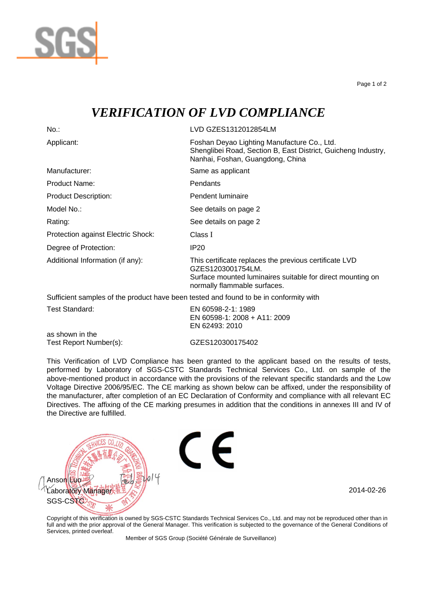

Page 1 of 2

## *VERIFICATION OF LVD COMPLIANCE*

No.: LVD GZES1312012854LM Applicant: Foshan Deyao Lighting Manufacture Co., Ltd. Shenglibei Road, Section B, East District, Guicheng Industry, Nanhai, Foshan, Guangdong, China Manufacturer: Same as applicant Product Name: Pendants Product Description: Pendent luminaire Model No.: See details on page 2 Rating: The See details on page 2 Protection against Electric Shock: Class I Degree of Protection: IP20 Additional Information (if any): This certificate replaces the previous certificate LVD GZES1203001754LM. Surface mounted luminaires suitable for direct mounting on normally flammable surfaces. Sufficient samples of the product have been tested and found to be in conformity with

| Test Standard:         | EN 60598-2-1: 1989           |
|------------------------|------------------------------|
|                        | EN 60598-1: 2008 + A11: 2009 |
|                        | EN 62493: 2010               |
| as shown in the        |                              |
| Test Report Number(s): | GZES120300175402             |

This Verification of LVD Compliance has been granted to the applicant based on the results of tests, performed by Laboratory of SGS-CSTC Standards Technical Services Co., Ltd. on sample of the above-mentioned product in accordance with the provisions of the relevant specific standards and the Low Voltage Directive 2006/95/EC. The CE marking as shown below can be affixed, under the responsibility of the manufacturer, after completion of an EC Declaration of Conformity and compliance with all relevant EC Directives. The affixing of the CE marking presumes in addition that the conditions in annexes III and IV of the Directive are fulfilled.



Copyright of this verification is owned by SGS-CSTC Standards Technical Services Co., Ltd. and may not be reproduced other than in full and with the prior approval of the General Manager. This verification is subjected to the governance of the General Conditions of Services, printed overleaf.

Member of SGS Group (Société Générale de Surveillance)